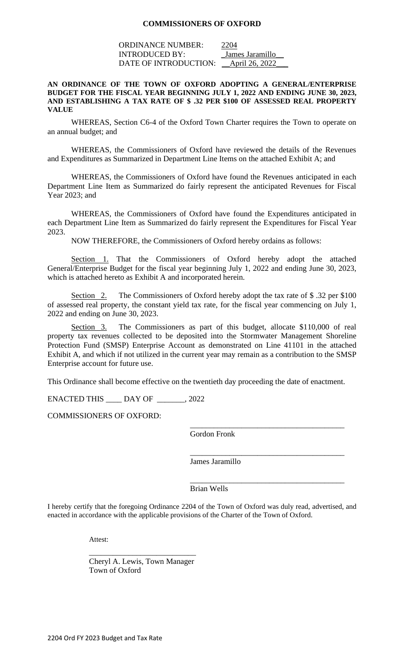### **COMMISSIONERS OF OXFORD**

ORDINANCE NUMBER: 2204 INTRODUCED BY: \_James Jaramillo\_\_ DATE OF INTRODUCTION: <u>April 26, 2022</u>

#### **AN ORDINANCE OF THE TOWN OF OXFORD ADOPTING A GENERAL/ENTERPRISE BUDGET FOR THE FISCAL YEAR BEGINNING JULY 1, 2022 AND ENDING JUNE 30, 2023, AND ESTABLISHING A TAX RATE OF \$ .32 PER \$100 OF ASSESSED REAL PROPERTY VALUE**

WHEREAS, Section C6-4 of the Oxford Town Charter requires the Town to operate on an annual budget; and

WHEREAS, the Commissioners of Oxford have reviewed the details of the Revenues and Expenditures as Summarized in Department Line Items on the attached Exhibit A; and

WHEREAS, the Commissioners of Oxford have found the Revenues anticipated in each Department Line Item as Summarized do fairly represent the anticipated Revenues for Fiscal Year 2023; and

WHEREAS, the Commissioners of Oxford have found the Expenditures anticipated in each Department Line Item as Summarized do fairly represent the Expenditures for Fiscal Year 2023.

NOW THEREFORE, the Commissioners of Oxford hereby ordains as follows:

Section 1. That the Commissioners of Oxford hereby adopt the attached General/Enterprise Budget for the fiscal year beginning July 1, 2022 and ending June 30, 2023, which is attached hereto as Exhibit A and incorporated herein.

Section 2. The Commissioners of Oxford hereby adopt the tax rate of \$ .32 per \$100 of assessed real property, the constant yield tax rate, for the fiscal year commencing on July 1, 2022 and ending on June 30, 2023.

Section 3. The Commissioners as part of this budget, allocate \$110,000 of real property tax revenues collected to be deposited into the Stormwater Management Shoreline Protection Fund (SMSP) Enterprise Account as demonstrated on Line 41101 in the attached Exhibit A, and which if not utilized in the current year may remain as a contribution to the SMSP Enterprise account for future use.

This Ordinance shall become effective on the twentieth day proceeding the date of enactment.

ENACTED THIS \_\_\_\_ DAY OF \_\_\_\_\_\_\_, 2022

COMMISSIONERS OF OXFORD:

Gordon Fronk

\_\_\_\_\_\_\_\_\_\_\_\_\_\_\_\_\_\_\_\_\_\_\_\_\_\_\_\_\_\_\_\_\_\_\_\_\_\_\_

\_\_\_\_\_\_\_\_\_\_\_\_\_\_\_\_\_\_\_\_\_\_\_\_\_\_\_\_\_\_\_\_\_\_\_\_\_\_\_

\_\_\_\_\_\_\_\_\_\_\_\_\_\_\_\_\_\_\_\_\_\_\_\_\_\_\_\_\_\_\_\_\_\_\_\_\_\_\_

James Jaramillo

Brian Wells

I hereby certify that the foregoing Ordinance 2204 of the Town of Oxford was duly read, advertised, and enacted in accordance with the applicable provisions of the Charter of the Town of Oxford.

Attest:

\_\_\_\_\_\_\_\_\_\_\_\_\_\_\_\_\_\_\_\_\_\_\_\_\_\_\_ Cheryl A. Lewis, Town Manager Town of Oxford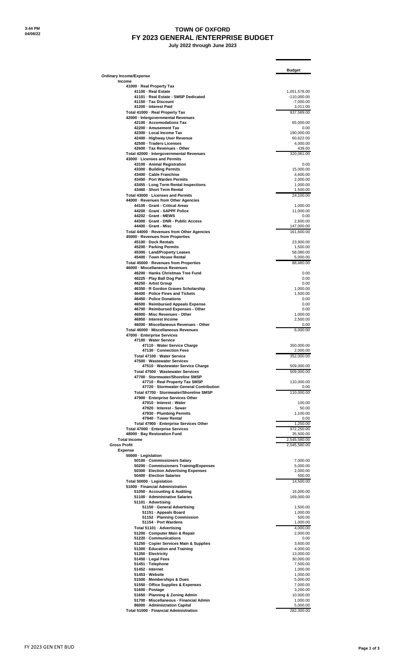# **TOWN OF OXFORD FY 2023 GENERAL /ENTERPRISE BUDGET**

 **July 2022 through June 2023**

|                                                                                    | <b>Budget</b>                |
|------------------------------------------------------------------------------------|------------------------------|
| <b>Ordinary Income/Expense</b>                                                     |                              |
| Income<br>41000 - Real Property Tax                                                |                              |
| 41100 - Real Estate                                                                | 1,051,578.00                 |
| 41101 - Real Estate - SMSP Dedicated<br>41150 · Tax Discount                       | $-110,000.00$<br>$-7,000.00$ |
| 41200 - Interest Paid                                                              | 3,011.00                     |
| Total 41000 - Real Property Tax                                                    | 937,589.00                   |
| 42000 - Intergovernmental Revenues<br>42100 · Accomodations Tax                    | 65,000.00                    |
| 42200 - Amusement Tax                                                              | 0.00                         |
| 42300 · Local Income Tax                                                           | 190,000.00                   |
| 42400 · Highway User Revenue<br>42500 · Traders Licenses                           | 60,622.00<br>4,000.00        |
| 42600 · Tax Revenues - Other                                                       | 439.00                       |
| Total 42000 - Intergovernmental Revenues                                           | 320,061.00                   |
| 43000 · Licenses and Permits                                                       |                              |
| 43100 - Animal Registration<br>43300 · Building Permits                            | 0.00<br>15,000.00            |
| 43400 · Cable Franchise                                                            | 4,600.00                     |
| 43450 - Port Warden Permits                                                        | 2,000.00                     |
| 43455 · Long Term Rental Inspections<br>43460 · Short Term Rental                  | 1,000.00<br>1,500.00         |
| Total 43000 · Licenses and Permits                                                 | 24,100.00                    |
| 44000 - Revenues from Other Agencies                                               |                              |
| 44100 - Grant - Critical Areas<br>44200 · Grant - SAPPF Police                     | 1,000.00                     |
| 44202 - Grant - MEWS                                                               | 11,000.00<br>0.00            |
| 44300 · Grant - DNR - Public Access                                                | 2,600.00                     |
| 44400 - Grant - Misc                                                               | 147,000.00                   |
| Total 44000 · Revenues from Other Agencies<br>45000 - Revenues from Properties     | 161,600.00                   |
| 45100 · Dock Rentals                                                               | 23,900.00                    |
| 45200 - Parking Permits                                                            | 1,500.00                     |
| 45300 - Land/Property Leases<br>45400 · Town House Rental                          | 58,080.00<br>5,000.00        |
| Total 45000 - Revenues from Properties                                             | 88,480.00                    |
| 46000 - Miscellaneous Revenues                                                     |                              |
| 46200 · Hanks Christmas Tree Fund                                                  | 0.00                         |
| 46225 · Play Ball Dog Park<br>46250 · Artist Group                                 | 0.00<br>0.00                 |
| 46350 - R Gordon Graves Scholarship                                                | 1,000.00                     |
| 46400 - Police Fines and Tickets                                                   | 1,500.00                     |
| 46450 - Police Donations<br>46500 - Reimbursed Appeals Expense                     | 0.00<br>0.00                 |
| 46700 - Reimbursed Expenses - Other                                                | 0.00                         |
| 46900 · Misc Revenues - Other                                                      | 1,000.00                     |
| 46950 - Interest Income<br>46000 · Miscellaneous Revenues - Other                  | 2,500.00<br>0.00             |
| Total 46000 · Miscellaneous Revenues                                               | 6,000.00                     |
| 47000 - Enterprise Services                                                        |                              |
| 47100 - Water Service                                                              |                              |
| 47110 - Water Service Charge<br>47130 - Connection Fees                            | 350,000.00<br>2,000.00       |
| Total 47100 · Water Service                                                        | 352,000.00                   |
| 47500 · Wastewater Services                                                        |                              |
| 47510 · Wastewater Service Charge<br>Total 47500 · Wastewater Services             | 509,000.00<br>509,000.00     |
| 47700 · Stormwater/Shoreline SMSP                                                  |                              |
| 47710 - Real Property Tax SMSP                                                     | 110,000.00                   |
| 47720 - Stormwater General Contribution<br>Total 47700 - Stormwater/Shoreline SMSP | 0.00                         |
| 47900 - Enterprise Services Other                                                  | 110,000.00                   |
| 47910 - Interest - Water                                                           | 100.00                       |
| 47920 - Interest - Sewer                                                           | 50.00                        |
| 47930 - Plumbing Permits<br>47940 - Tower Rental                                   | 1,100.00<br>0.00             |
| Total 47900 - Enterprise Services Other                                            | 1,250.00                     |
| Total 47000 - Enterprise Services                                                  | 972,250.00                   |
| 48000 · Bay Restoration Fund<br><b>Total Income</b>                                | 35,500.00<br>2,545,580.00    |
| <b>Gross Profit</b>                                                                | 2,545,580.00                 |
| <b>Expense</b>                                                                     |                              |
| 50000 - Legislation                                                                |                              |
| 50100 · Commissioners Salary<br>50200 · Commissioners Training/Expenses            | 7,000.00<br>5,000.00         |
| 50300 · Election Advertising Expenses                                              | 2,000.00                     |
| 50400 - Election Salaries                                                          | 500.00                       |
| Total 50000 · Legislation<br>51000 - Financial Administration                      | 14,500.00                    |
| 51050 · Accounting & Auditing                                                      | 16,000.00                    |
| 51100 - Administrative Salaries                                                    | 169,000.00                   |
| 51101 · Advertising<br>51150 · General Advertising                                 | 1,500.00                     |
| 51151 · Appeals Board                                                              | 1,000.00                     |
| 51152 - Planning Commission                                                        | 500.00                       |
| 51154 · Port Wardens                                                               | 1,000.00                     |
| Total 51101 · Advertising<br>51200 · Computer Main & Repair                        | 4,000.00<br>2,000.00         |
| 51220 · Communications                                                             | 0.00                         |
| 51250 · Copier Services Main & Supplies                                            | 3,600.00                     |
| 51300 - Education and Training<br>51350 - Electricity                              | 4,000.00<br>13,000.00        |
| 51450 · Legal Fees                                                                 | 30,000.00                    |
| 51451 · Telephone                                                                  | 7,500.00                     |
| 51452 - Internet<br>51453 · Website                                                | 1,000.00<br>1,000.00         |
| 51500 - Memberships & Dues                                                         | 5,000.00                     |
| 51550 · Office Supplies & Expenses                                                 | 7,000.00                     |
| 51600 · Postage                                                                    | 3,200.00                     |
| 51650 · Planning & Zoning Admin<br>51700 - Miscellaneous - Financial Admin         | 10,000.00<br>1,000.00        |
| 86000 · Administration Capital                                                     | 5,000.00                     |
| Total 51000 - Financial Administration                                             | 282,300.00                   |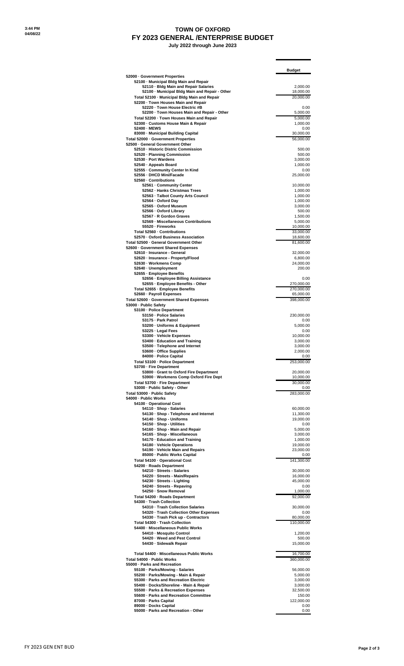## **TOWN OF OXFORD FY 2023 GENERAL /ENTERPRISE BUDGET**

 **July 2022 through June 2023**

| 2,000.00<br>18,000.00<br>20,000.00<br>0.00<br>5,000.00<br>5,000.00<br>1,000.00<br>0.00<br>30,000.00<br>56,000.00<br>500.00<br>500.00<br>3,000.00<br>1,000.00<br>0.00<br>25,000.00<br>10,000.00<br>1,000.00<br>1,000.00<br>1,000.00<br>3,000.00<br>500.00<br>1,500.00<br>5,000.00<br>10,000.00<br>18,600.00<br>81,600.00<br>32,000.00<br>6,800.00<br>24,000.00<br>200.00<br>0.00<br>270,000.00<br>270,000.00<br>65,000.00 |
|--------------------------------------------------------------------------------------------------------------------------------------------------------------------------------------------------------------------------------------------------------------------------------------------------------------------------------------------------------------------------------------------------------------------------|
|                                                                                                                                                                                                                                                                                                                                                                                                                          |
| 33,000.00                                                                                                                                                                                                                                                                                                                                                                                                                |
|                                                                                                                                                                                                                                                                                                                                                                                                                          |
|                                                                                                                                                                                                                                                                                                                                                                                                                          |
|                                                                                                                                                                                                                                                                                                                                                                                                                          |
|                                                                                                                                                                                                                                                                                                                                                                                                                          |
|                                                                                                                                                                                                                                                                                                                                                                                                                          |
|                                                                                                                                                                                                                                                                                                                                                                                                                          |
|                                                                                                                                                                                                                                                                                                                                                                                                                          |
|                                                                                                                                                                                                                                                                                                                                                                                                                          |
|                                                                                                                                                                                                                                                                                                                                                                                                                          |
|                                                                                                                                                                                                                                                                                                                                                                                                                          |
|                                                                                                                                                                                                                                                                                                                                                                                                                          |
|                                                                                                                                                                                                                                                                                                                                                                                                                          |
|                                                                                                                                                                                                                                                                                                                                                                                                                          |
|                                                                                                                                                                                                                                                                                                                                                                                                                          |
|                                                                                                                                                                                                                                                                                                                                                                                                                          |
|                                                                                                                                                                                                                                                                                                                                                                                                                          |
|                                                                                                                                                                                                                                                                                                                                                                                                                          |
|                                                                                                                                                                                                                                                                                                                                                                                                                          |
|                                                                                                                                                                                                                                                                                                                                                                                                                          |
|                                                                                                                                                                                                                                                                                                                                                                                                                          |
|                                                                                                                                                                                                                                                                                                                                                                                                                          |
|                                                                                                                                                                                                                                                                                                                                                                                                                          |
|                                                                                                                                                                                                                                                                                                                                                                                                                          |
|                                                                                                                                                                                                                                                                                                                                                                                                                          |
|                                                                                                                                                                                                                                                                                                                                                                                                                          |
|                                                                                                                                                                                                                                                                                                                                                                                                                          |
|                                                                                                                                                                                                                                                                                                                                                                                                                          |
|                                                                                                                                                                                                                                                                                                                                                                                                                          |
|                                                                                                                                                                                                                                                                                                                                                                                                                          |
| 398,000.00                                                                                                                                                                                                                                                                                                                                                                                                               |
|                                                                                                                                                                                                                                                                                                                                                                                                                          |
| 230,000.00                                                                                                                                                                                                                                                                                                                                                                                                               |
| 0.00                                                                                                                                                                                                                                                                                                                                                                                                                     |
| 5,000.00<br>0.00                                                                                                                                                                                                                                                                                                                                                                                                         |
| 10,000.00                                                                                                                                                                                                                                                                                                                                                                                                                |
| 3,000.00                                                                                                                                                                                                                                                                                                                                                                                                                 |
| 3,000.00<br>2,000.00                                                                                                                                                                                                                                                                                                                                                                                                     |
| 0.00                                                                                                                                                                                                                                                                                                                                                                                                                     |
| 253,000.00                                                                                                                                                                                                                                                                                                                                                                                                               |
| 20,000.00                                                                                                                                                                                                                                                                                                                                                                                                                |
| 10,000.00                                                                                                                                                                                                                                                                                                                                                                                                                |
| 30,000.00<br>0.00                                                                                                                                                                                                                                                                                                                                                                                                        |
| 283,000.00                                                                                                                                                                                                                                                                                                                                                                                                               |
|                                                                                                                                                                                                                                                                                                                                                                                                                          |
| 60,000.00                                                                                                                                                                                                                                                                                                                                                                                                                |
| 11,300.00                                                                                                                                                                                                                                                                                                                                                                                                                |
| 19,000.00                                                                                                                                                                                                                                                                                                                                                                                                                |
| 0.00<br>5,000.00                                                                                                                                                                                                                                                                                                                                                                                                         |
| 3,000.00                                                                                                                                                                                                                                                                                                                                                                                                                 |
| 1,000.00                                                                                                                                                                                                                                                                                                                                                                                                                 |
| 19,000.00<br>23,000.00                                                                                                                                                                                                                                                                                                                                                                                                   |
| 0.00                                                                                                                                                                                                                                                                                                                                                                                                                     |
| 141,300.00                                                                                                                                                                                                                                                                                                                                                                                                               |
| 30,000.00                                                                                                                                                                                                                                                                                                                                                                                                                |
| 16,000.00                                                                                                                                                                                                                                                                                                                                                                                                                |
| 45,000.00                                                                                                                                                                                                                                                                                                                                                                                                                |
| 0.00<br>1,000.00                                                                                                                                                                                                                                                                                                                                                                                                         |
| 92,000.00                                                                                                                                                                                                                                                                                                                                                                                                                |
|                                                                                                                                                                                                                                                                                                                                                                                                                          |
| 30,000.00<br>0.00                                                                                                                                                                                                                                                                                                                                                                                                        |
| 80,000.00                                                                                                                                                                                                                                                                                                                                                                                                                |
| 110,000.00                                                                                                                                                                                                                                                                                                                                                                                                               |
| 1,200.00                                                                                                                                                                                                                                                                                                                                                                                                                 |
| 500.00                                                                                                                                                                                                                                                                                                                                                                                                                   |
| 15,000.00                                                                                                                                                                                                                                                                                                                                                                                                                |
| 16,700.00                                                                                                                                                                                                                                                                                                                                                                                                                |
| 360,000.00                                                                                                                                                                                                                                                                                                                                                                                                               |
| 56,000.00                                                                                                                                                                                                                                                                                                                                                                                                                |
| 5,000.00                                                                                                                                                                                                                                                                                                                                                                                                                 |
| 3,000.00                                                                                                                                                                                                                                                                                                                                                                                                                 |
| 3,000.00                                                                                                                                                                                                                                                                                                                                                                                                                 |
| 32,500.00<br>150.00                                                                                                                                                                                                                                                                                                                                                                                                      |
| 122,000.00                                                                                                                                                                                                                                                                                                                                                                                                               |
| 0.00<br>0.00                                                                                                                                                                                                                                                                                                                                                                                                             |
|                                                                                                                                                                                                                                                                                                                                                                                                                          |